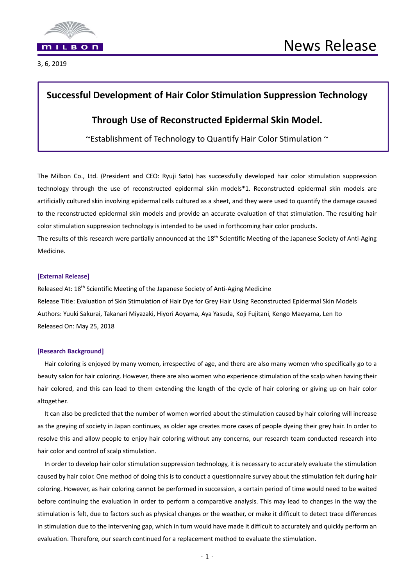

3, 6, 2019

## **Successful Development of Hair Color Stimulation Suppression Technology**

### **Through Use of Reconstructed Epidermal Skin Model.**

 $\sim$ Establishment of Technology to Quantify Hair Color Stimulation  $\sim$ 

The Milbon Co., Ltd. (President and CEO: Ryuji Sato) has successfully developed hair color stimulation suppression technology through the use of reconstructed epidermal skin models\*1. Reconstructed epidermal skin models are artificially cultured skin involving epidermal cells cultured as a sheet, and they were used to quantify the damage caused to the reconstructed epidermal skin models and provide an accurate evaluation of that stimulation. The resulting hair color stimulation suppression technology is intended to be used in forthcoming hair color products.

The results of this research were partially announced at the 18<sup>th</sup> Scientific Meeting of the Japanese Society of Anti-Aging Medicine.

#### **[External Release]**

Released At: 18<sup>th</sup> Scientific Meeting of the Japanese Society of Anti-Aging Medicine Release Title: Evaluation of Skin Stimulation of Hair Dye for Grey Hair Using Reconstructed Epidermal Skin Models Authors: Yuuki Sakurai, Takanari Miyazaki, Hiyori Aoyama, Aya Yasuda, Koji Fujitani, Kengo Maeyama, Len Ito Released On: May 25, 2018

### **[Research Background]**

Hair coloring is enjoyed by many women, irrespective of age, and there are also many women who specifically go to a beauty salon for hair coloring. However, there are also women who experience stimulation of the scalp when having their hair colored, and this can lead to them extending the length of the cycle of hair coloring or giving up on hair color altogether.

It can also be predicted that the number of women worried about the stimulation caused by hair coloring will increase as the greying of society in Japan continues, as older age creates more cases of people dyeing their grey hair. In order to resolve this and allow people to enjoy hair coloring without any concerns, our research team conducted research into hair color and control of scalp stimulation.

In order to develop hair color stimulation suppression technology, it is necessary to accurately evaluate the stimulation caused by hair color. One method of doing this is to conduct a questionnaire survey about the stimulation felt during hair coloring. However, as hair coloring cannot be performed in succession, a certain period of time would need to be waited before continuing the evaluation in order to perform a comparative analysis. This may lead to changes in the way the stimulation is felt, due to factors such as physical changes or the weather, or make it difficult to detect trace differences in stimulation due to the intervening gap, which in turn would have made it difficult to accurately and quickly perform an evaluation. Therefore, our search continued for a replacement method to evaluate the stimulation.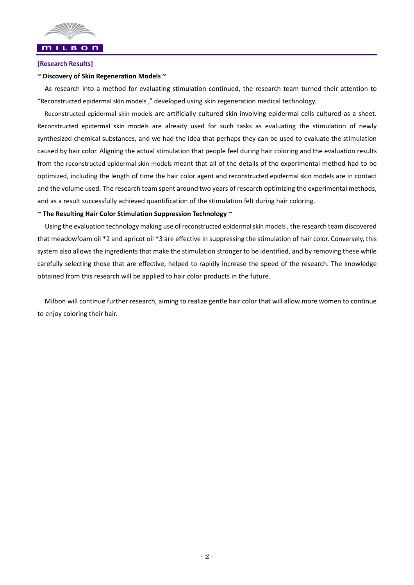

# **[Research Results]**

### **~ Discovery of Skin Regeneration Models ~**

As research into a method for evaluating stimulation continued, the research team turned their attention to "Reconstructed epidermal skin models ," developed using skin regeneration medical technology.

Reconstructed epidermal skin models are artificially cultured skin involving epidermal cells cultured as a sheet. Reconstructed epidermal skin models are already used for such tasks as evaluating the stimulation of newly synthesized chemical substances, and we had the idea that perhaps they can be used to evaluate the stimulation caused by hair color. Aligning the actual stimulation that people feel during hair coloring and the evaluation results from the reconstructed epidermal skin models meant that all of the details of the experimental method had to be optimized, including the length of time the hair color agent and reconstructed epidermal skin models are in contact and the volume used. The research team spent around two years of research optimizing the experimental methods, and as a result successfully achieved quantification of the stimulation felt during hair coloring.

### **~ The Resulting Hair Color Stimulation Suppression Technology ~**

 Using the evaluation technology making use of reconstructed epidermalskin models, the research team discovered that meadowfoam oil \*2 and apricot oil \*3 are effective in suppressing the stimulation of hair color. Conversely, this system also allows the ingredients that make the stimulation stronger to be identified, and by removing these while carefully selecting those that are effective, helped to rapidly increase the speed of the research. The knowledge obtained from this research will be applied to hair color products in the future.

Milbon will continue further research, aiming to realize gentle hair color that will allow more women to continue to enjoy coloring their hair.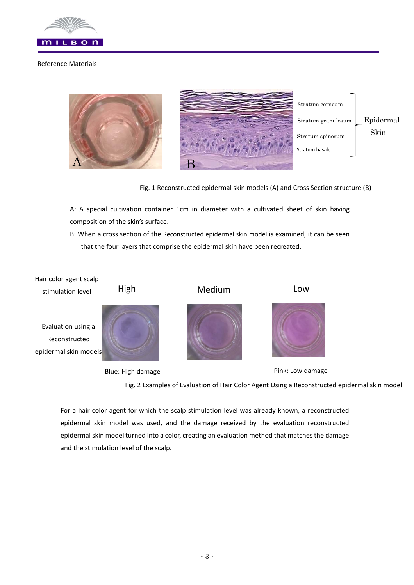

### Reference Materials



Fig. 1 Reconstructed epidermal skin models (A) and Cross Section structure (B)

A: A special cultivation container 1cm in diameter with a cultivated sheet of skin having composition of the skin's surface.

B: When a cross section of the Reconstructed epidermal skin model is examined, it can be seen that the four layers that comprise the epidermal skin have been recreated.



Blue: High damage **Pink: Low damage** Pink: Low damage

Fig. 2 Examples of Evaluation of Hair Color Agent Using a Reconstructed epidermal skin model

For a hair color agent for which the scalp stimulation level was already known, a reconstructed epidermal skin model was used, and the damage received by the evaluation reconstructed epidermal skin model turned into a color, creating an evaluation method that matches the damage and the stimulation level of the scalp.